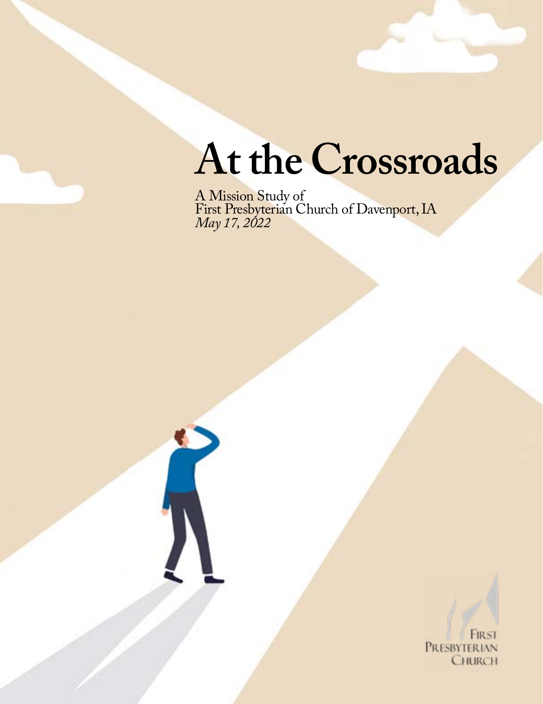# **At the Crossroads**

A Mission Study of First Presbyterian Church of Davenport, IA *May 17, 2022*



PRESBYTERIAN CHURCH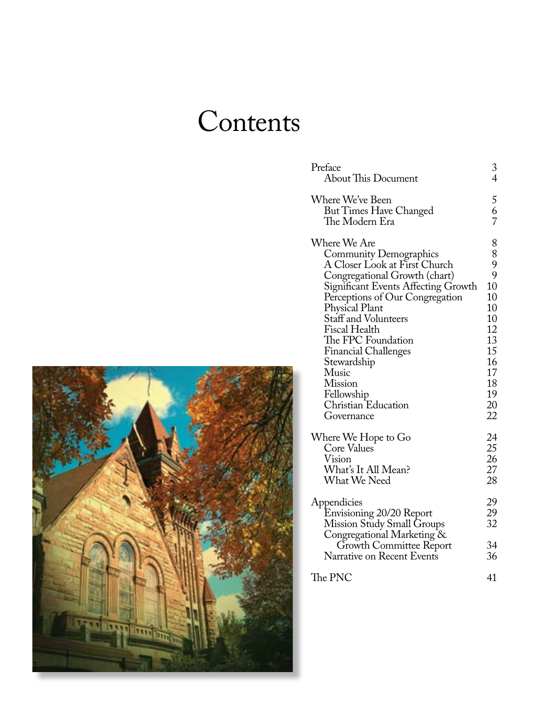# **Contents**

| Preface                                                                                                                                                      | 3                          |
|--------------------------------------------------------------------------------------------------------------------------------------------------------------|----------------------------|
| <b>About This Document</b>                                                                                                                                   | $\overline{4}$             |
| Where We've Been<br>But Times Have Changed<br>The Modern Era                                                                                                 | 5<br>$\frac{6}{7}$         |
| Where We Are                                                                                                                                                 | 8                          |
| <b>Community Demographics</b>                                                                                                                                | 8                          |
| A Closer Look at First Church                                                                                                                                | 9                          |
| Congregational Growth (chart)                                                                                                                                | 9                          |
| Significant Events Affecting Growth                                                                                                                          | 10                         |
| Perceptions of Our Congregation                                                                                                                              | 10                         |
| Physical Plant                                                                                                                                               | 10                         |
| Staff and Volunteers                                                                                                                                         | 10                         |
| Fiscal Health                                                                                                                                                | 12                         |
| The FPC Foundation                                                                                                                                           | 13                         |
| <b>Financial Challenges</b>                                                                                                                                  | 15                         |
| Stewardship                                                                                                                                                  | 16                         |
| Music                                                                                                                                                        | 17                         |
| <b>Mission</b>                                                                                                                                               | 18                         |
| Fellowship                                                                                                                                                   | 19                         |
| Christian Education                                                                                                                                          | 20                         |
| Governance                                                                                                                                                   | 22                         |
| Where We Hope to Go                                                                                                                                          | 24                         |
| Core Values                                                                                                                                                  | 25                         |
| Vision                                                                                                                                                       | 26                         |
| What's It All Mean?                                                                                                                                          | 27                         |
| What We Need                                                                                                                                                 | 28                         |
| Appendicies<br>Envisioning 20/20 Report<br>Mission Study Small Groups<br>Congregational Marketing &<br>Growth Committee Report<br>Narrative on Recent Events | 29<br>29<br>32<br>34<br>36 |
| The PNC                                                                                                                                                      | 41                         |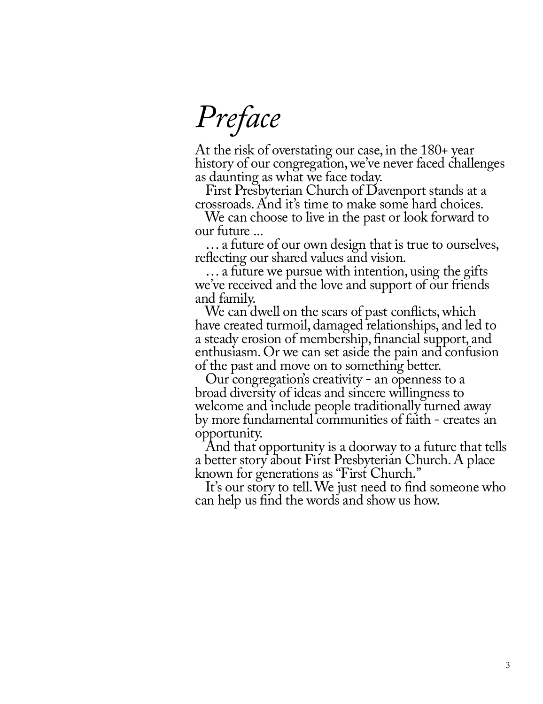*Preface*

At the risk of overstating our case, in the 180+ year history of our congregation, we've never faced challenges as daunting as what we face today.

 First Presbyterian Church of Davenport stands at a crossroads. And it's time to make some hard choices.

 We can choose to live in the past or look forward to our future ...

 … a future of our own design that is true to ourselves, reflecting our shared values and vision.

 … a future we pursue with intention, using the gifts we've received and the love and support of our friends and family.

We can dwell on the scars of past conflicts, which have created turmoil, damaged relationships, and led to a steady erosion of membership, financial support, and enthusiasm. Or we can set aside the pain and confusion of the past and move on to something better.

 Our congregation's creativity - an openness to a broad diversity of ideas and sincere willingness to welcome and include people traditionally turned away by more fundamental communities of faith - creates an opportunity.

 And that opportunity is a doorway to a future that tells a better story about First Presbyterian Church. A place known for generations as "First Church."

 It's our story to tell. We just need to find someone who can help us find the words and show us how.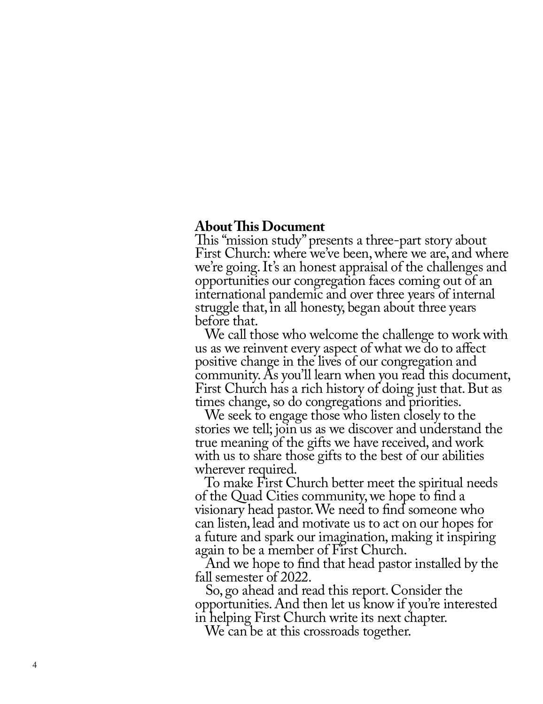#### **About This Document**

This "mission study" presents a three-part story about First Church: where we've been, where we are, and where we're going. It's an honest appraisal of the challenges and opportunities our congregation faces coming out of an international pandemic and over three years of internal struggle that, in all honesty, began about three years before that.

 We call those who welcome the challenge to work with us as we reinvent every aspect of what we do to affect positive change in the lives of our congregation and community. As you'll learn when you read this document, First Church has a rich history of doing just that. But as times change, so do congregations and priorities.

 We seek to engage those who listen closely to the stories we tell; join us as we discover and understand the true meaning of the gifts we have received, and work with us to share those gifts to the best of our abilities wherever required.

 To make First Church better meet the spiritual needs of the Quad Cities community, we hope to find a visionary head pastor. We need to find someone who can listen, lead and motivate us to act on our hopes for a future and spark our imagination, making it inspiring again to be a member of First Church.

 And we hope to find that head pastor installed by the fall semester of 2022.

 So, go ahead and read this report. Consider the opportunities. And then let us know if you're interested in helping First Church write its next chapter.

We can be at this crossroads together.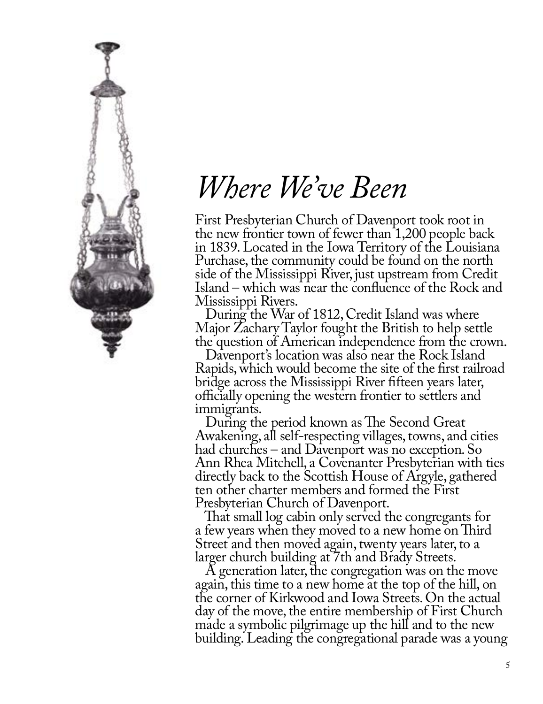

# *Where We've Been*

First Presbyterian Church of Davenport took root in the new frontier town of fewer than 1,200 people back in 1839. Located in the Iowa Territory of the Louisiana Purchase, the community could be found on the north side of the Mississippi River, just upstream from Credit Island – which was near the confluence of the Rock and Mississippi Rivers.

 During the War of 1812, Credit Island was where Major Zachary Taylor fought the British to help settle the question of American independence from the crown.

 Davenport's location was also near the Rock Island Rapids, which would become the site of the first railroad bridge across the Mississippi River fifteen years later, officially opening the western frontier to settlers and immigrants.

 During the period known as The Second Great Awakening, all self-respecting villages, towns, and cities had churches – and Davenport was no exception. So Ann Rhea Mitchell, a Covenanter Presbyterian with ties directly back to the Scottish House of Argyle, gathered ten other charter members and formed the First Presbyterian Church of Davenport.

 That small log cabin only served the congregants for a few years when they moved to a new home on Third Street and then moved again, twenty years later, to a larger church building at 7th and Brady Streets.

 A generation later, the congregation was on the move again, this time to a new home at the top of the hill, on the corner of Kirkwood and Iowa Streets. On the actual day of the move, the entire membership of First Church made a symbolic pilgrimage up the hill and to the new building. Leading the congregational parade was a young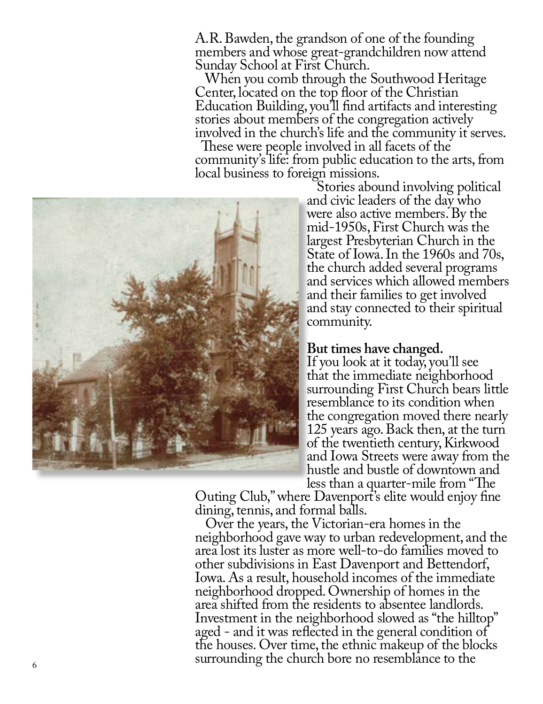A.R. Bawden, the grandson of one of the founding members and whose great-grandchildren now attend Sunday School at First Church.

 When you comb through the Southwood Heritage Center, located on the top floor of the Christian Education Building, you'll find artifacts and interesting stories about members of the congregation actively involved in the church's life and the community it serves.

 These were people involved in all facets of the community's life: from public education to the arts, from local business to foreign missions.



Stories abound involving political and civic leaders of the day who were also active members. By the mid-1950s, First Church was the largest Presbyterian Church in the State of Iowa. In the 1960s and 70s, the church added several programs and services which allowed members and their families to get involved and stay connected to their spiritual community.

#### Į **But times have changed.**

If you look at it today, you'll see that the immediate neighborhood surrounding First Church bears little resemblance to its condition when the congregation moved there nearly 125 years ago. Back then, at the turn of the twentieth century, Kirkwood and Iowa Streets were away from the hustle and bustle of downtown and<br>less than a quarter-mile from "The

Outing Club," where Davenport's elite would enjoy fine dining, tennis, and formal balls.

 Over the years, the Victorian-era homes in the neighborhood gave way to urban redevelopment, and the area lost its luster as more well-to-do families moved to other subdivisions in East Davenport and Bettendorf, Iowa. As a result, household incomes of the immediate neighborhood dropped. Ownership of homes in the area shifted from the residents to absentee landlords. Investment in the neighborhood slowed as "the hilltop" aged - and it was reflected in the general condition of the houses. Over time, the ethnic makeup of the blocks surrounding the church bore no resemblance to the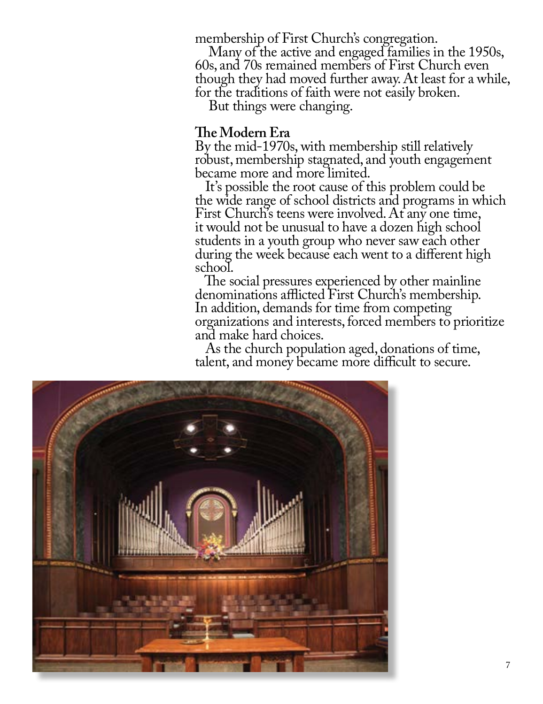membership of First Church's congregation.

 Many of the active and engaged families in the 1950s, 60s, and 70s remained members of First Church even though they had moved further away. At least for a while, for the traditions of faith were not easily broken.

But things were changing.

#### **The Modern Era**

By the mid-1970s, with membership still relatively robust, membership stagnated, and youth engagement became more and more limited.

 It's possible the root cause of this problem could be the wide range of school districts and programs in which First Church's teens were involved. At any one time, it would not be unusual to have a dozen high school students in a youth group who never saw each other during the week because each went to a different high school.

 The social pressures experienced by other mainline denominations afflicted First Church's membership. In addition, demands for time from competing organizations and interests, forced members to prioritize and make hard choices.

 As the church population aged, donations of time, talent, and money became more difficult to secure.

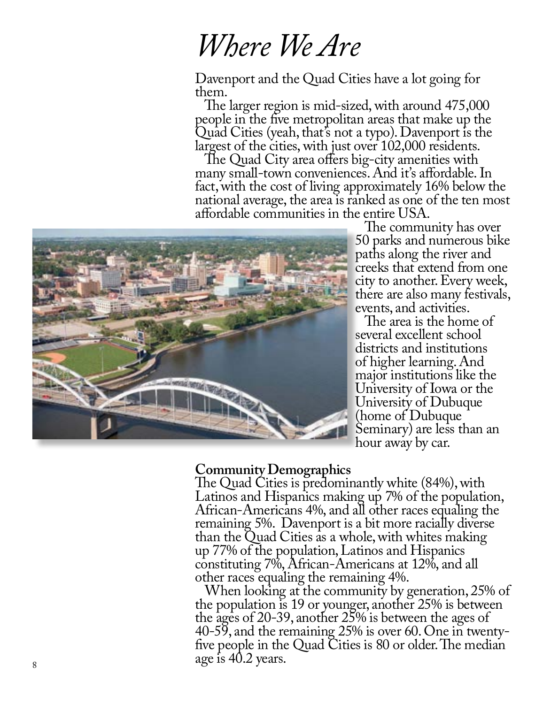# *Where We Are*

Davenport and the Quad Cities have a lot going for them.

 The larger region is mid-sized, with around 475,000 people in the five metropolitan areas that make up the Quad Cities (yeah, that's not a typo). Davenport is the largest of the cities, with just over 102,000 residents.

 The Quad City area offers big-city amenities with many small-town conveniences. And it's affordable. In fact, with the cost of living approximately 16% below the national average, the area is ranked as one of the ten most affordable communities in the entire USA.



The community has over 50 parks and numerous bike paths along the river and creeks that extend from one city to another. Every week, there are also many festivals, events, and activities.

 The area is the home of several excellent school districts and institutions of higher learning. And major institutions like the University of Iowa or the University of Dubuque (home of Dubuque Seminary) are less than an hour away by car.

### **Community Demographics**

The Quad Cities is predominantly white (84%), with Latinos and Hispanics making up 7% of the population, African-Americans 4%, and all other races equaling the remaining 5%. Davenport is a bit more racially diverse than the Quad Cities as a whole, with whites making up 77% of the population, Latinos and Hispanics constituting 7%, African-Americans at 12%, and all other races equaling the remaining 4%.

 When looking at the community by generation, 25% of the population is 19 or younger, another 25% is between the ages of 20-39, another 25% is between the ages of 40-59, and the remaining 25% is over 60. One in twentyfive people in the Quad Cities is 80 or older. The median age is 40.2 years.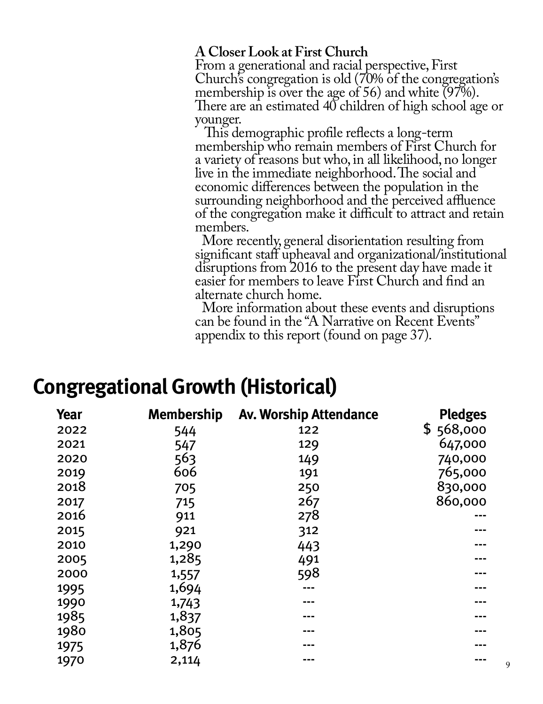# **A Closer Look at First Church**

From a generational and racial perspective, First Church's congregation is old (70% of the congregation's membership is over the age of 56) and white (97%). There are an estimated 40 children of high school age or younger.

 This demographic profile reflects a long-term membership who remain members of First Church for a variety of reasons but who, in all likelihood, no longer live in the immediate neighborhood. The social and economic differences between the population in the surrounding neighborhood and the perceived affluence of the congregation make it difficult to attract and retain members.

 More recently, general disorientation resulting from significant staff upheaval and organizational/institutional disruptions from 2016 to the present day have made it easier for members to leave First Church and find an alternate church home.

 More information about these events and disruptions can be found in the "A Narrative on Recent Events" appendix to this report (found on page 37).

# **Congregational Growth (Historical)**

| <b>Year</b> | <b>Membership</b> | <b>Av. Worship Attendance</b> | <b>Pledges</b> |
|-------------|-------------------|-------------------------------|----------------|
| 2022        | 544               | 122                           | \$568,000      |
| 2021        | 547               | 129                           | 647,000        |
| 2020        | 563               | 149                           | 740,000        |
| 2019        | 606               | 191                           | 765,000        |
| 2018        | 705               | 250                           | 830,000        |
| 2017        | 715               | 267                           | 860,000        |
| 2016        | 911               | 278                           |                |
| 2015        | 921               | 312                           |                |
| 2010        | 1,290             | 443                           |                |
| 2005        | 1,285             | 491                           |                |
| 2000        | 1,557             | 598                           |                |
| 1995        | 1,694             |                               |                |
| 1990        | 1,743             |                               |                |
| 1985        | 1,837             |                               |                |
| 1980        | 1,805             |                               |                |
| 1975        | 1,876             |                               |                |
| 1970        | 2,114             |                               | 9              |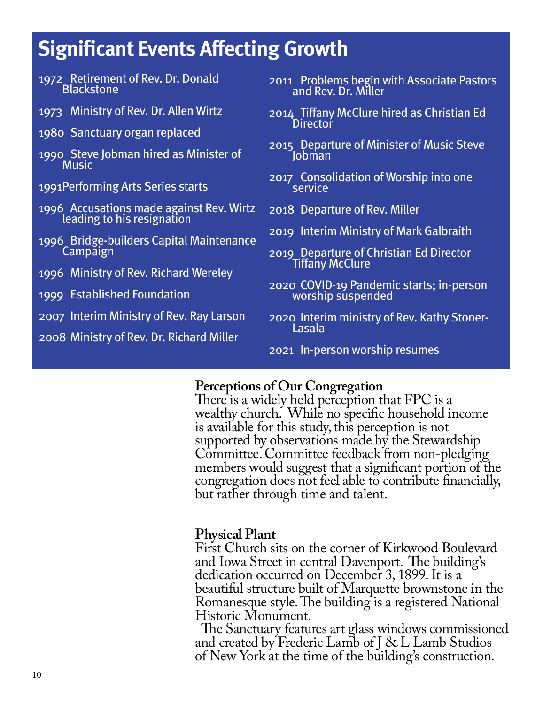# **Significant Events Affecting Growth**

| 1972 Retirement of Rev. Dr. Donald<br>Blackstone                       | 2011 Problems begin with Associate Pastors<br>and Rev. Dr. Miller                                                    |  |
|------------------------------------------------------------------------|----------------------------------------------------------------------------------------------------------------------|--|
| 1973 Ministry of Rev. Dr. Allen Wirtz                                  | 2014 Tiffany McClure hired as Christian Ed<br><b>Director</b><br>2015 Departure of Minister of Music Steve<br>Jobman |  |
| 1980 Sanctuary organ replaced                                          |                                                                                                                      |  |
| 1990 Steve Jobman hired as Minister of<br><b>Music</b>                 |                                                                                                                      |  |
| 1991 Performing Arts Series starts                                     | 2017 Consolidation of Worship into one<br>service                                                                    |  |
| 1996 Accusations made against Rev. Wirtz<br>leading to his resignation | 2018 Departure of Rev. Miller                                                                                        |  |
| 1996 Bridge-builders Capital Maintenance                               | 2019 Interim Ministry of Mark Galbraith                                                                              |  |
| Campaign                                                               | 2019 Departure of Christian Ed Director<br>Tiffany McClure                                                           |  |
| 1996 Ministry of Rev. Richard Wereley                                  |                                                                                                                      |  |
| 1999 Established Foundation                                            | 2020 COVID-19 Pandemic starts; in-person<br>worship suspended                                                        |  |
| 2007 Interim Ministry of Rev. Ray Larson                               | 2020 Interim ministry of Rev. Kathy Stoner-<br>Lasala                                                                |  |
| 2008 Ministry of Rev. Dr. Richard Miller                               |                                                                                                                      |  |
|                                                                        | 2021 In-person worship resumes                                                                                       |  |

# **Perceptions of Our Congregation**

There is a widely held perception that FPC is a wealthy church. While no specific household income is available for this study, this perception is not supported by observations made by the Stewardship Committee. Committee feedback from non-pledging members would suggest that a significant portion of the congregation does not feel able to contribute financially, but rather through time and talent.

#### $\overline{a}$ **Physical Plant**

First Church sits on the corner of Kirkwood Boulevard and Iowa Street in central Davenport. The building's dedication occurred on December 3, 1899. It is a beautiful structure built of Marquette brownstone in the Romanesque style. The building is a registered National Historic Monument.

 The Sanctuary features art glass windows commissioned and created by Frederic Lamb of J & L Lamb Studios of New York at the time of the building's construction.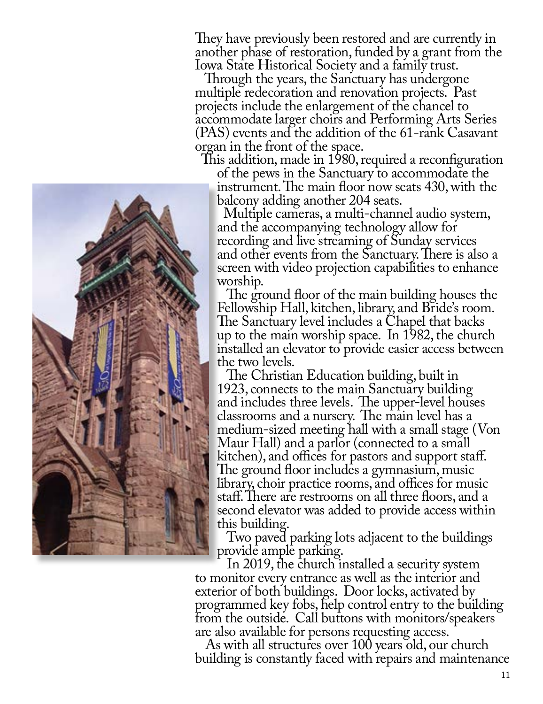They have previously been restored and are currently in another phase of restoration, funded by a grant from the Iowa State Historical Society and a family trust.

 Through the years, the Sanctuary has undergone multiple redecoration and renovation projects. Past projects include the enlargement of the chancel to accommodate larger choirs and Performing Arts Series (PAS) events and the addition of the 61-rank Casavant organ in the front of the space.<br>This addition, made in 1980, required a reconfiguration

of the pews in the Sanctuary to accommodate the instrument. The main floor now seats 430, with the balcony adding another 204 seats.

 Multiple cameras, a multi-channel audio system, and the accompanying technology allow for recording and live streaming of Sunday services and other events from the Sanctuary. There is also a screen with video projection capabilities to enhance worship.

 The ground floor of the main building houses the Fellowship Hall, kitchen, library, and Bride's room. The Sanctuary level includes a Chapel that backs up to the main worship space. In 1982, the church installed an elevator to provide easier access between the two levels.

 The Christian Education building, built in 1923, connects to the main Sanctuary building and includes three levels. The upper-level houses classrooms and a nursery. The main level has a medium-sized meeting hall with a small stage (Von Maur Hall) and a parlor (connected to a small kitchen), and offices for pastors and support staff. The ground floor includes a gymnasium, music library, choir practice rooms, and offices for music staff. There are restrooms on all three floors, and a second elevator was added to provide access within this building.

 Two paved parking lots adjacent to the buildings provide ample parking.<br>In 2019, the church installed a security system

to monitor every entrance as well as the interior and exterior of both buildings. Door locks, activated by programmed key fobs, help control entry to the building from the outside. Call buttons with monitors/speakers are also available for persons requesting access.

 As with all structures over 100 years old, our church building is constantly faced with repairs and maintenance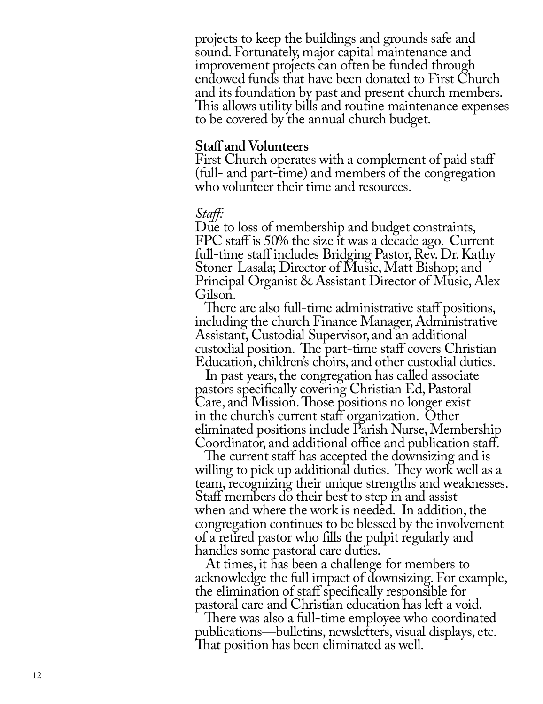projects to keep the buildings and grounds safe and sound. Fortunately, major capital maintenance and improvement projects can often be funded through endowed funds that have been donated to First Church and its foundation by past and present church members. This allows utility bills and routine maintenance expenses to be covered by the annual church budget.

#### **Staff and Volunteers**

First Church operates with a complement of paid staff (full- and part-time) and members of the congregation who volunteer their time and resources.

#### *Staff:*

Due to loss of membership and budget constraints, FPC staff is 50% the size it was a decade ago. Current full-time staff includes Bridging Pastor, Rev. Dr. Kathy Stoner-Lasala; Director of Music, Matt Bishop; and Principal Organist & Assistant Director of Music, Alex Gilson.

 There are also full-time administrative staff positions, including the church Finance Manager, Administrative Assistant, Custodial Supervisor, and an additional custodial position. The part-time staff covers Christian Education, children's choirs, and other custodial duties.

 In past years, the congregation has called associate pastors specifically covering Christian Ed, Pastoral Care, and Mission. Those positions no longer exist in the church's current staff organization. Other eliminated positions include Parish Nurse, Membership Coordinator, and additional office and publication staff.

 The current staff has accepted the downsizing and is willing to pick up additional duties. They work well as a team, recognizing their unique strengths and weaknesses. Staff members do their best to step in and assist when and where the work is needed. In addition, the congregation continues to be blessed by the involvement of a retired pastor who fills the pulpit regularly and handles some pastoral care duties.

 At times, it has been a challenge for members to acknowledge the full impact of downsizing. For example, the elimination of staff specifically responsible for pastoral care and Christian education has left a void.

 There was also a full-time employee who coordinated publications—bulletins, newsletters, visual displays, etc. That position has been eliminated as well.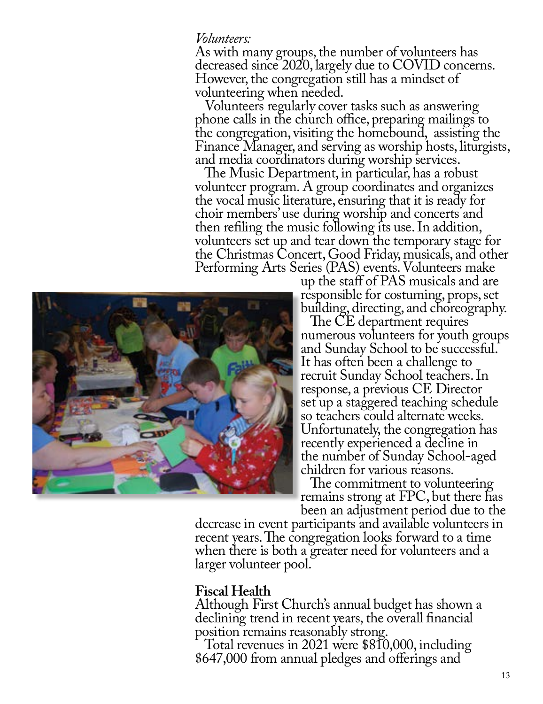#### *Volunteers:*

As with many groups, the number of volunteers has decreased since 2020, largely due to COVID concerns. However, the congregation still has a mindset of volunteering when needed.

 Volunteers regularly cover tasks such as answering phone calls in the church office, preparing mailings to the congregation, visiting the homebound, assisting the Finance Manager, and serving as worship hosts, liturgists, and media coordinators during worship services.

 The Music Department, in particular, has a robust volunteer program. A group coordinates and organizes the vocal music literature, ensuring that it is ready for choir members' use during worship and concerts and then refiling the music following its use. In addition, volunteers set up and tear down the temporary stage for the Christmas Concert, Good Friday, musicals, and other Performing Arts Series (PAS) events. Volunteers make up the staff of PAS musicals and are



responsible for costuming, props, set building, directing, and choreography.

 The CE department requires numerous volunteers for youth groups and Sunday School to be successful. It has often been a challenge to recruit Sunday School teachers. In response, a previous CE Director set up a staggered teaching schedule so teachers could alternate weeks. Unfortunately, the congregation has recently experienced a decline in the number of Sunday School-aged children for various reasons.

 The commitment to volunteering remains strong at FPC, but there has<br>been an adjustment period due to the

decrease in event participants and available volunteers in recent years. The congregation looks forward to a time when there is both a greater need for volunteers and a larger volunteer pool.

### **Fiscal Health**

Although First Church's annual budget has shown a declining trend in recent years, the overall financial position remains reasonably strong.

 Total revenues in 2021 were \$810,000, including \$647,000 from annual pledges and offerings and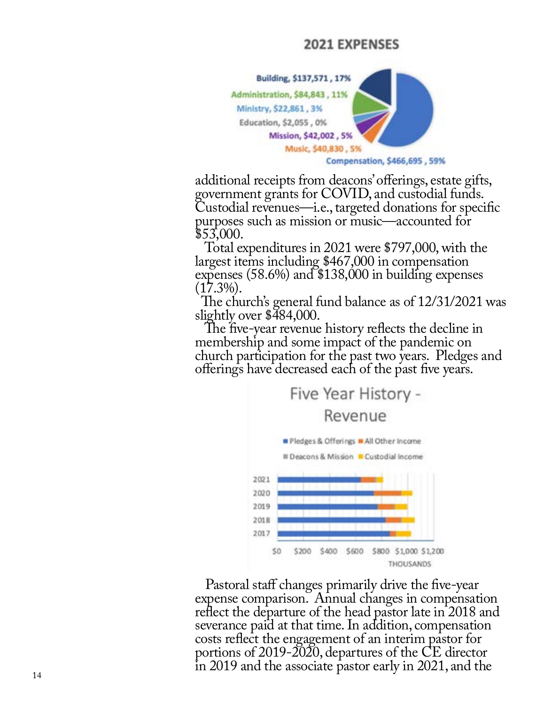### **2021 EXPENSES**



additional receipts from deacons' offerings, estate gifts, government grants for COVID, and custodial funds. Custodial revenues—i.e., targeted donations for specific purposes such as mission or music—accounted for \$53,000.

 Total expenditures in 2021 were \$797,000, with the largest items including \$467,000 in compensation expenses (58.6%) and \$138,000 in building expenses  $(17.3\%)$ .

 The church's general fund balance as of 12/31/2021 was slightly over \$484,000.

The five-year revenue history reflects the decline in membership and some impact of the pandemic on church participation for the past two years. Pledges and offerings have decreased each of the past five years.



 Pastoral staff changes primarily drive the five-year expense comparison. Annual changes in compensation reflect the departure of the head pastor late in 2018 and severance paid at that time. In addition, compensation costs reflect the engagement of an interim pastor for portions of 2019-2020, departures of the CE director in 2019 and the associate pastor early in 2021, and the 14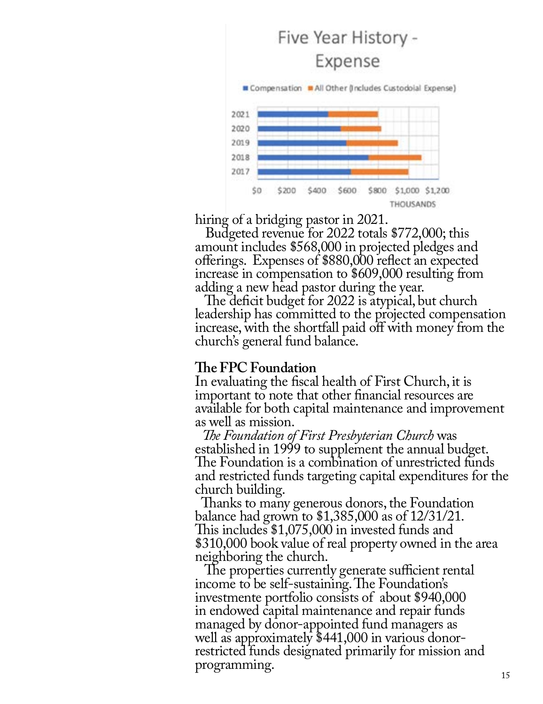

hiring of a bridging pastor in 2021.

 Budgeted revenue for 2022 totals \$772,000; this amount includes \$568,000 in projected pledges and offerings. Expenses of \$880,000 reflect an expected increase in compensation to \$609,000 resulting from adding a new head pastor during the year.

 The deficit budget for 2022 is atypical, but church leadership has committed to the projected compensation increase, with the shortfall paid off with money from the church's general fund balance.

# **The FPC Foundation**

In evaluating the fiscal health of First Church, it is important to note that other financial resources are available for both capital maintenance and improvement as well as mission.

 *The Foundation of First Presbyterian Church* was established in 1999 to supplement the annual budget. The Foundation is a combination of unrestricted funds and restricted funds targeting capital expenditures for the church building.

 Thanks to many generous donors, the Foundation balance had grown to \$1,385,000 as of 12/31/21. This includes \$1,075,000 in invested funds and \$310,000 book value of real property owned in the area neighboring the church.

 The properties currently generate sufficient rental income to be self-sustaining. The Foundation's investmente portfolio consists of about \$940,000 in endowed capital maintenance and repair funds managed by donor-appointed fund managers as well as approximately \$441,000 in various donorrestricted funds designated primarily for mission and programming.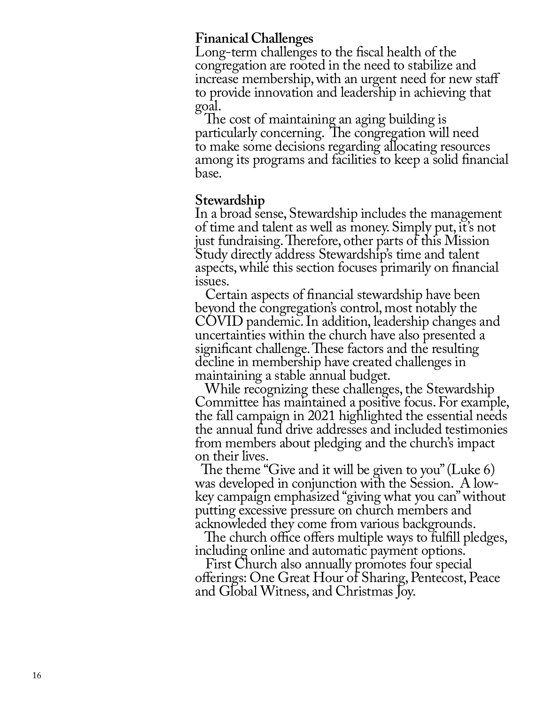# **Finanical Challenges**

Long-term challenges to the fiscal health of the congregation are rooted in the need to stabilize and increase membership, with an urgent need for new staff to provide innovation and leadership in achieving that goal.

 The cost of maintaining an aging building is particularly concerning. The congregation will need to make some decisions regarding allocating resources among its programs and facilities to keep a solid financial base.

## **Stewardship**

In a broad sense, Stewardship includes the management of time and talent as well as money. Simply put, it's not just fundraising. Therefore, other parts of this Mission Study directly address Stewardship's time and talent aspects, while this section focuses primarily on financial issues.

 Certain aspects of financial stewardship have been beyond the congregation's control, most notably the COVID pandemic. In addition, leadership changes and uncertainties within the church have also presented a significant challenge. These factors and the resulting decline in membership have created challenges in maintaining a stable annual budget.

 While recognizing these challenges, the Stewardship Committee has maintained a positive focus. For example, the fall campaign in 2021 highlighted the essential needs the annual fund drive addresses and included testimonies from members about pledging and the church's impact on their lives.

 The theme "Give and it will be given to you" (Luke 6) was developed in conjunction with the Session. A lowkey campaign emphasized "giving what you can" without putting excessive pressure on church members and acknowleded they come from various backgrounds.

 The church office offers multiple ways to fulfill pledges, including online and automatic payment options.

 First Church also annually promotes four special offerings: One Great Hour of Sharing, Pentecost, Peace and Global Witness, and Christmas Joy.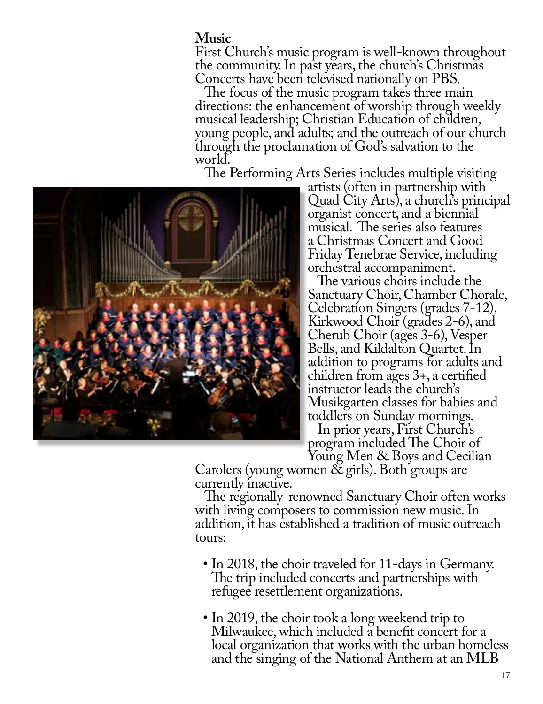## **Music**

First Church's music program is well-known throughout the community. In past years, the church's Christmas Concerts have been televised nationally on PBS.

 The focus of the music program takes three main directions: the enhancement of worship through weekly musical leadership; Christian Education of children, young people, and adults; and the outreach of our church through the proclamation of God's salvation to the world.

The Performing Arts Series includes multiple visiting artists (often in partnership with



Quad City Arts), a church's principal organist concert, and a biennial musical. The series also features a Christmas Concert and Good Friday Tenebrae Service, including orchestral accompaniment.

 The various choirs include the Sanctuary Choir, Chamber Chorale, Celebration Singers (grades 7-12), Kirkwood Choir (grades 2-6), and Cherub Choir (ages 3-6), Vesper Bells, and Kildalton Quartet. In addition to programs for adults and children from ages 3+, a certified instructor leads the church's Musikgarten classes for babies and toddlers on Sunday mornings.

 In prior years, First Church's program included The Choir of<br>Young Men & Boys and Cecilian

Carolers (young women  $\&$  girls). Both groups are currently inactive.

 The regionally-renowned Sanctuary Choir often works with living composers to commission new music. In addition, it has established a tradition of music outreach tours:

- In 2018, the choir traveled for 11-days in Germany. The trip included concerts and partnerships with refugee resettlement organizations.
- In 2019, the choir took a long weekend trip to Milwaukee, which included a benefit concert for a local organization that works with the urban homeless and the singing of the National Anthem at an MLB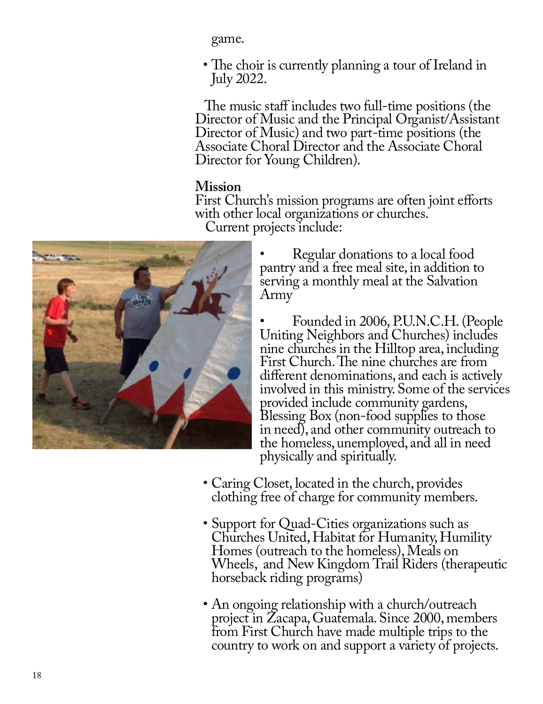game.

• The choir is currently planning a tour of Ireland in July 2022.

 The music staff includes two full-time positions (the Director of Music and the Principal Organist/Assistant Director of Music) and two part-time positions (the Associate Choral Director and the Associate Choral Director for Young Children).

# **Mission**

First Church's mission programs are often joint efforts with other local organizations or churches. Current projects include:



• Regular donations to a local food pantry and a free meal site, in addition to serving a monthly meal at the Salvation Army

• Founded in 2006, P.U.N.C.H. (People Uniting Neighbors and Churches) includes nine churches in the Hilltop area, including First Church. The nine churches are from different denominations, and each is actively involved in this ministry. Some of the services provided include community gardens, Blessing Box (non-food supplies to those in need), and other community outreach to the homeless, unemployed, and all in need physically and spiritually.

- Caring Closet, located in the church, provides clothing free of charge for community members.
- Support for Quad-Cities organizations such as Churches United, Habitat for Humanity, Humility Homes (outreach to the homeless), Meals on Wheels, and New Kingdom Trail Riders (therapeutic horseback riding programs)
- An ongoing relationship with a church/outreach project in Zacapa, Guatemala. Since 2000, members from First Church have made multiple trips to the country to work on and support a variety of projects.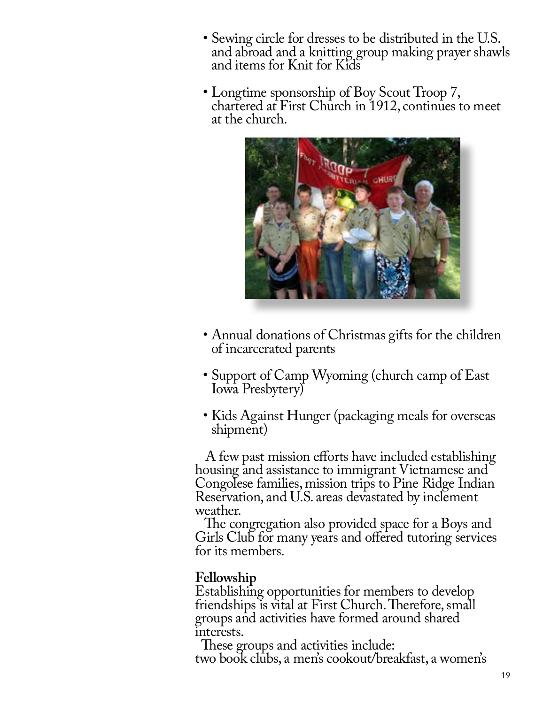- Sewing circle for dresses to be distributed in the U.S. and abroad and a knitting group making prayer shawls and items for Knit for Kids
- Longtime sponsorship of Boy Scout Troop 7, chartered at First Church in 1912, continues to meet at the church.



- Annual donations of Christmas gifts for the children of incarcerated parents
- Support of Camp Wyoming (church camp of East Iowa Presbytery)
- Kids Against Hunger (packaging meals for overseas shipment)

 A few past mission efforts have included establishing housing and assistance to immigrant Vietnamese and Congolese families, mission trips to Pine Ridge Indian Reservation, and U.S. areas devastated by inclement weather.

 The congregation also provided space for a Boys and Girls Club for many years and offered tutoring services for its members.

# **Fellowship**

Establishing opportunities for members to develop friendships is vital at First Church. Therefore, small groups and activities have formed around shared interests.

 These groups and activities include: two book clubs, a men's cookout/breakfast, a women's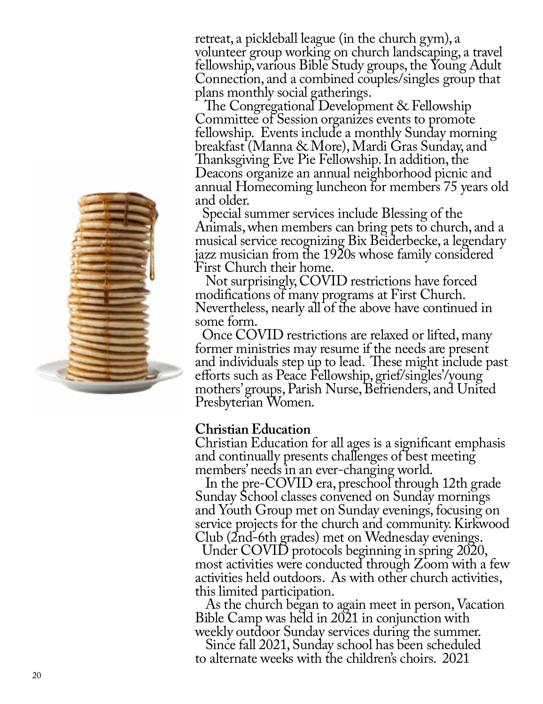

retreat, a pickleball league (in the church gym), a volunteer group working on church landscaping, a travel fellowship, various Bible Study groups, the Young Adult Connection, and a combined couples/singles group that plans monthly social gatherings.

 The Congregational Development & Fellowship Committee of Session organizes events to promote fellowship. Events include a monthly Sunday morning breakfast (Manna & More), Mardi Gras Sunday, and Thanksgiving Eve Pie Fellowship. In addition, the Deacons organize an annual neighborhood picnic and annual Homecoming luncheon for members 75 years old and older.

 Special summer services include Blessing of the Animals, when members can bring pets to church, and a musical service recognizing Bix Beiderbecke, a legendary jazz musician from the 1920s whose family considered First Church their home.

 Not surprisingly, COVID restrictions have forced modifications of many programs at First Church. Nevertheless, nearly all of the above have continued in some form.

 Once COVID restrictions are relaxed or lifted, many former ministries may resume if the needs are present and individuals step up to lead. These might include past efforts such as Peace Fellowship, grief/singles'/young mothers' groups, Parish Nurse, Befrienders, and United Presbyterian Women.

#### **Christian Education**

Christian Education for all ages is a significant emphasis and continually presents challenges of best meeting members' needs in an ever-changing world.

 In the pre-COVID era, preschool through 12th grade Sunday School classes convened on Sunday mornings and Youth Group met on Sunday evenings, focusing on service projects for the church and community. Kirkwood Club (2nd-6th grades) met on Wednesday evenings.

 Under COVID protocols beginning in spring 2020, most activities were conducted through Zoom with a few activities held outdoors. As with other church activities, this limited participation.

 As the church began to again meet in person, Vacation Bible Camp was held in 2021 in conjunction with weekly outdoor Sunday services during the summer.

 Since fall 2021, Sunday school has been scheduled to alternate weeks with the children's choirs. 2021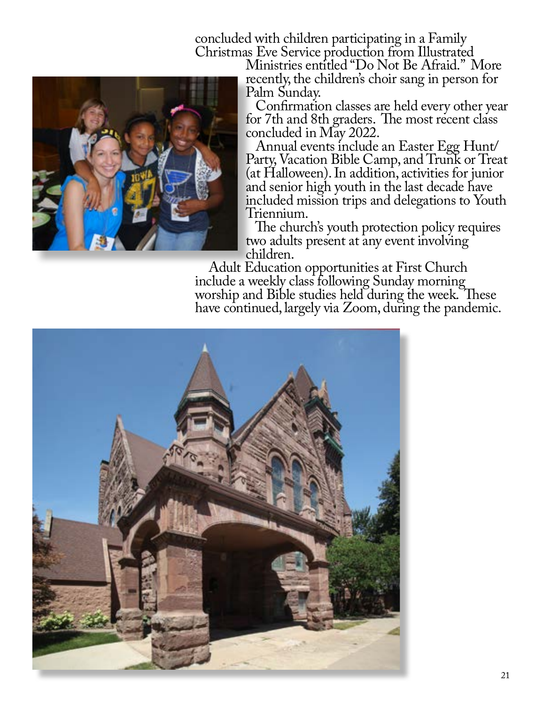concluded with children participating in a Family



Ministries entitled "Do Not Be Afraid." More recently, the children's choir sang in person for Palm Sunday.

 Confirmation classes are held every other year for 7th and 8th graders. The most recent class concluded in May 2022.

 Annual events include an Easter Egg Hunt/ Party, Vacation Bible Camp, and Trunk or Treat (at Halloween). In addition, activities for junior and senior high youth in the last decade have included mission trips and delegations to Youth Triennium.

 The church's youth protection policy requires two adults present at any event involving children.

 Adult Education opportunities at First Church include a weekly class following Sunday morning worship and Bible studies held during the week. These have continued, largely via Zoom, during the pandemic.

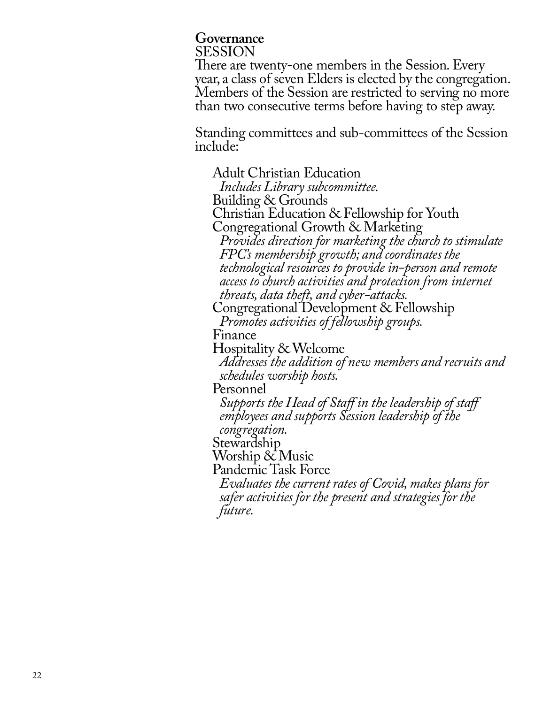# **Governance** SESSION

There are twenty-one members in the Session. Every year, a class of seven Elders is elected by the congregation. Members of the Session are restricted to serving no more than two consecutive terms before having to step away.

Standing committees and sub-committees of the Session include:

Adult Christian Education *Includes Library subcommittee.* Building & Grounds Christian Education & Fellowship for Youth Congregational Growth & Marketing *Provides direction for marketing the church to stimulate FPC's membership growth; and coordinates the technological resources to provide in-person and remote access to church activities and protection from internet threats, data theft, and cyber-attacks.* Congregational Development & Fellowship *Promotes activities of fellowship groups.* Finance Hospitality & Welcome *Addresses the addition of new members and recruits and schedules worship hosts.* Personnel *Supports the Head of Staff in the leadership of staff employees and supports Session leadership of the congregation.* Stewardship Worship & Music Pandemic Task Force *Evaluates the current rates of Covid, makes plans for safer activities for the present and strategies for the future.*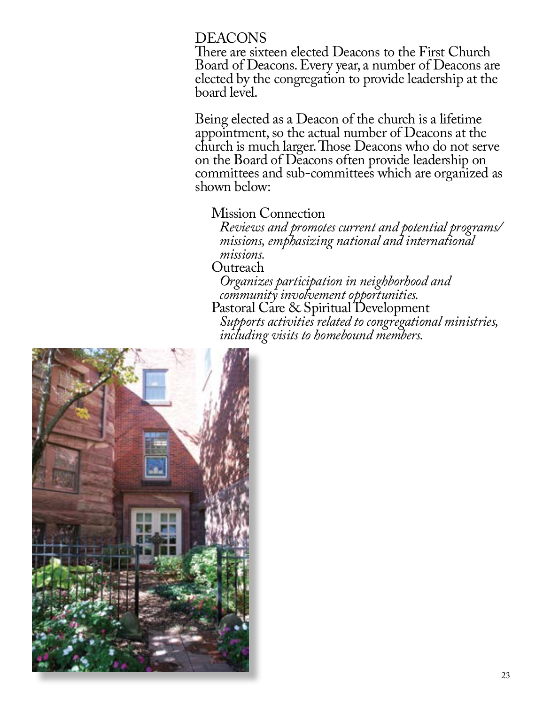## DEACONS

There are sixteen elected Deacons to the First Church Board of Deacons. Every year, a number of Deacons are elected by the congregation to provide leadership at the board level.

Being elected as a Deacon of the church is a lifetime appointment, so the actual number of Deacons at the church is much larger. Those Deacons who do not serve on the Board of Deacons often provide leadership on committees and sub-committees which are organized as shown below:

### Mission Connection

*Reviews and promotes current and potential programs/ missions, emphasizing national and international missions.*

Outreach

*Organizes participation in neighborhood and community involvement opportunities.* Pastoral Care & Spiritual Development

*Supports activities related to congregational ministries, including visits to homebound members.* 

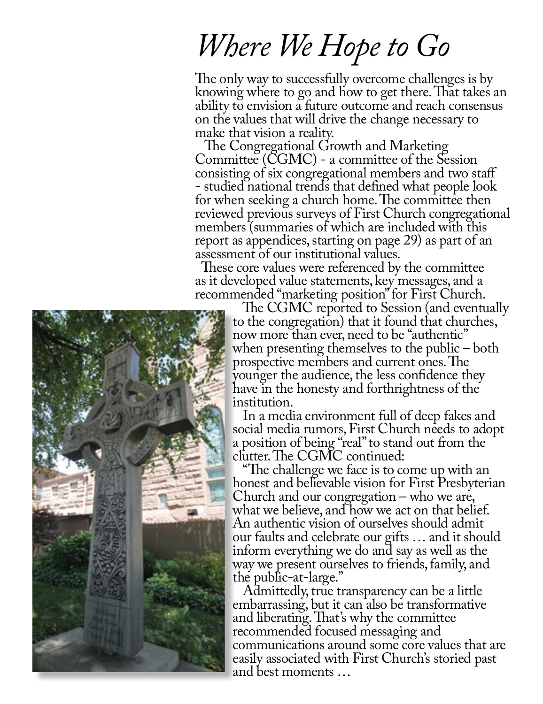# *Where We Hope to Go*

The only way to successfully overcome challenges is by knowing where to go and how to get there. That takes an ability to envision a future outcome and reach consensus on the values that will drive the change necessary to make that vision a reality.

 The Congregational Growth and Marketing Committee (CGMC) - a committee of the Session consisting of six congregational members and two staff - studied national trends that defined what people look for when seeking a church home. The committee then reviewed previous surveys of First Church congregational members (summaries of which are included with this report as appendices, starting on page 29) as part of an assessment of our institutional values.

 These core values were referenced by the committee as it developed value statements, key messages, and a recommended "marketing position" for First Church. The CGMC reported to Session (and eventually

to the congregation) that it found that churches, now more than ever, need to be "authentic" when presenting themselves to the public – both prospective members and current ones. The younger the audience, the less confidence they have in the honesty and forthrightness of the institution.

 In a media environment full of deep fakes and social media rumors, First Church needs to adopt a position of being "real" to stand out from the clutter. The CGMC continued:

 "The challenge we face is to come up with an honest and believable vision for First Presbyterian Church and our congregation – who we are, what we believe, and how we act on that belief. An authentic vision of ourselves should admit our faults and celebrate our gifts … and it should inform everything we do and say as well as the way we present ourselves to friends, family, and the public-at-large."

 Admittedly, true transparency can be a little embarrassing, but it can also be transformative and liberating. That's why the committee recommended focused messaging and communications around some core values that are easily associated with First Church's storied past and best moments …

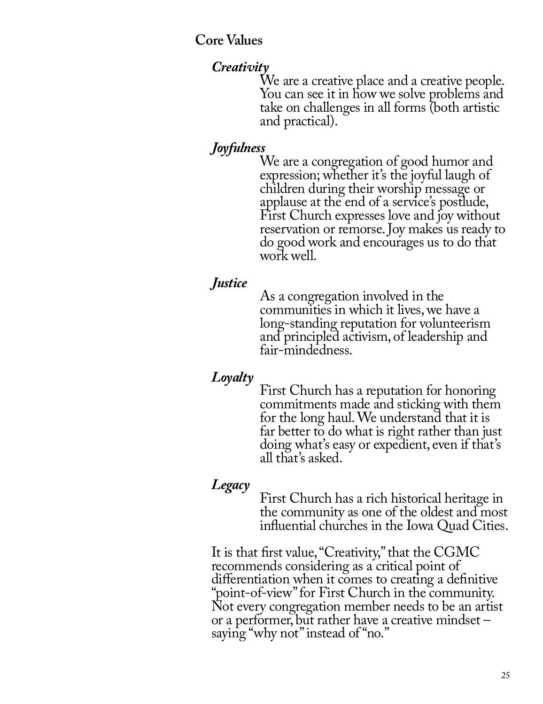**Core Values**

*Creativity*<br>We are a creative place and a creative people. You can see it in how we solve problems and take on challenges in all forms (both artistic and practical).

*Joyfulness*<br>We are a congregation of good humor and expression; whether it's the joyful laugh of children during their worship message or applause at the end of a service's postlude, First Church expresses love and joy without reservation or remorse. Joy makes us ready to do good work and encourages us to do that work well.

*Justice* As a congregation involved in the communities in which it lives, we have a long-standing reputation for volunteerism and principled activism, of leadership and fair-mindedness.

# *Loyalty*

First Church has a reputation for honoring commitments made and sticking with them for the long haul. We understand that it is far better to do what is right rather than just doing what's easy or expedient, even if that's all that's asked.

*Legacy* First Church has a rich historical heritage in the community as one of the oldest and most influential churches in the Iowa Quad Cities.

It is that first value, "Creativity," that the CGMC recommends considering as a critical point of differentiation when it comes to creating a definitive "point-of-view" for First Church in the community. Not every congregation member needs to be an artist or a performer, but rather have a creative mindset – saying "why not" instead of "no."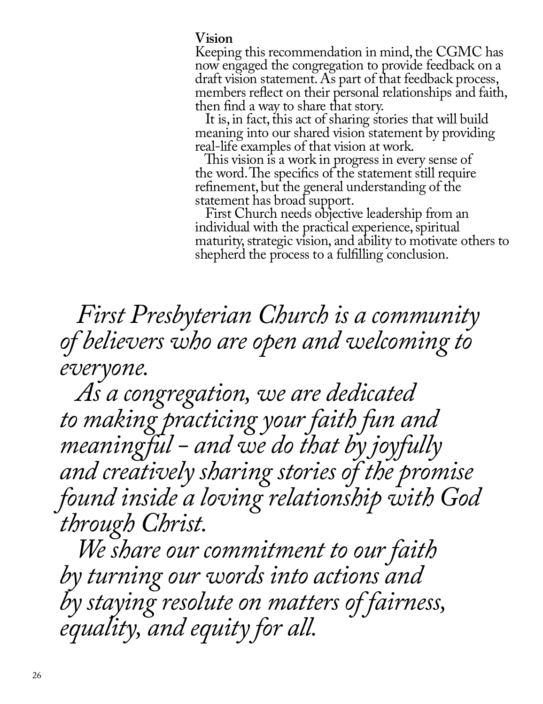### **Vision**

Keeping this recommendation in mind, the CGMC has now engaged the congregation to provide feedback on a draft vision statement. As part of that feedback process, members reflect on their personal relationships and faith, then find a way to share that story.

 It is, in fact, this act of sharing stories that will build meaning into our shared vision statement by providing real-life examples of that vision at work.

 This vision is a work in progress in every sense of the word. The specifics of the statement still require refinement, but the general understanding of the statement has broad support.

 First Church needs objective leadership from an individual with the practical experience, spiritual maturity, strategic vision, and ability to motivate others to shepherd the process to a fulfilling conclusion.

 *First Presbyterian Church is a community of believers who are open and welcoming to everyone.*

 *As a congregation, we are dedicated to making practicing your faith fun and meaningful - and we do that by joyfully and creatively sharing stories of the promise found inside a loving relationship with God through Christ.* 

 *We share our commitment to our faith by turning our words into actions and by staying resolute on matters of fairness, equality, and equity for all.*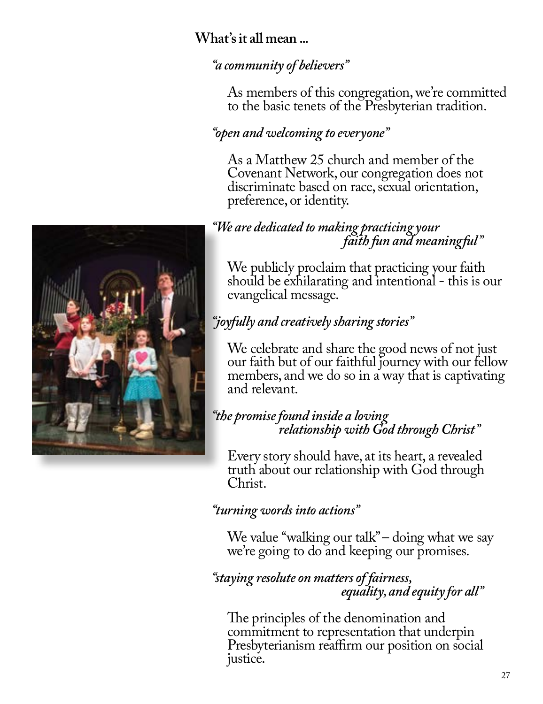# **What's it all mean ...**

# *"a community of believers"*

As members of this congregation, we're committed to the basic tenets of the Presbyterian tradition.

# *"open and welcoming to everyone"*

As a Matthew 25 church and member of the Covenant Network, our congregation does not discriminate based on race, sexual orientation, preference, or identity.

# *"We are dedicated to making practicing your faith fun and meaningful"*

We publicly proclaim that practicing your faith should be exhilarating and intentional - this is our evangelical message.

# *"joyfully and creatively sharing stories"*

We celebrate and share the good news of not just our faith but of our faithful journey with our fellow members, and we do so in a way that is captivating and relevant.

# *"the promise found inside a loving relationship with God through Christ"*

Every story should have, at its heart, a revealed truth about our relationship with God through Christ.

# *"turning words into actions"*

We value "walking our talk" – doing what we say we're going to do and keeping our promises.

# *"staying resolute on matters of fairness, equality, and equity for all"*

The principles of the denomination and commitment to representation that underpin Presbyterianism reaffirm our position on social justice.

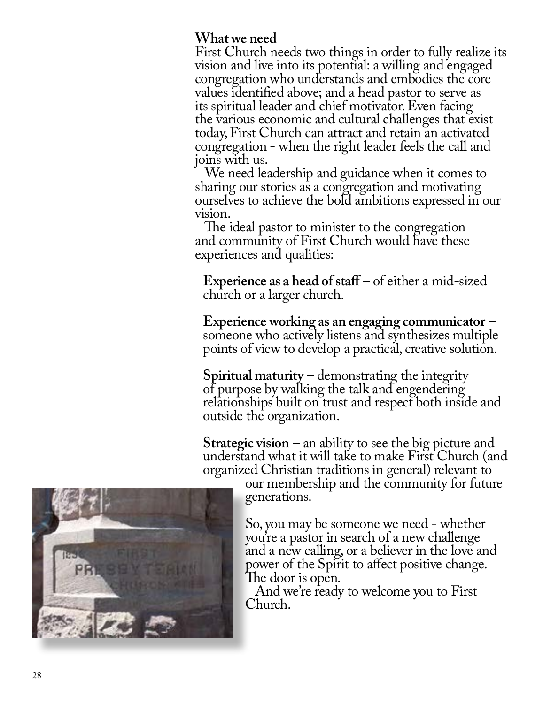# **What we need**

First Church needs two things in order to fully realize its vision and live into its potential: a willing and engaged congregation who understands and embodies the core values identified above; and a head pastor to serve as its spiritual leader and chief motivator. Even facing the various economic and cultural challenges that exist today, First Church can attract and retain an activated congregation - when the right leader feels the call and joins with us.

 We need leadership and guidance when it comes to sharing our stories as a congregation and motivating ourselves to achieve the bold ambitions expressed in our vision.

 The ideal pastor to minister to the congregation and community of First Church would have these experiences and qualities:

**Experience as a head of staff** – of either a mid-sized church or a larger church.

**Experience working as an engaging communicator** – someone who actively listens and synthesizes multiple points of view to develop a practical, creative solution.

**Spiritual maturity** – demonstrating the integrity of purpose by walking the talk and engendering relationships built on trust and respect both inside and outside the organization.

**Strategic vision** – an ability to see the big picture and understand what it will take to make First Church (and organized Christian traditions in general) relevant to

our membership and the community for future generations.

So, you may be someone we need - whether you're a pastor in search of a new challenge and a new calling, or a believer in the love and power of the Spirit to affect positive change. The door is open.

 And we're ready to welcome you to First Church.

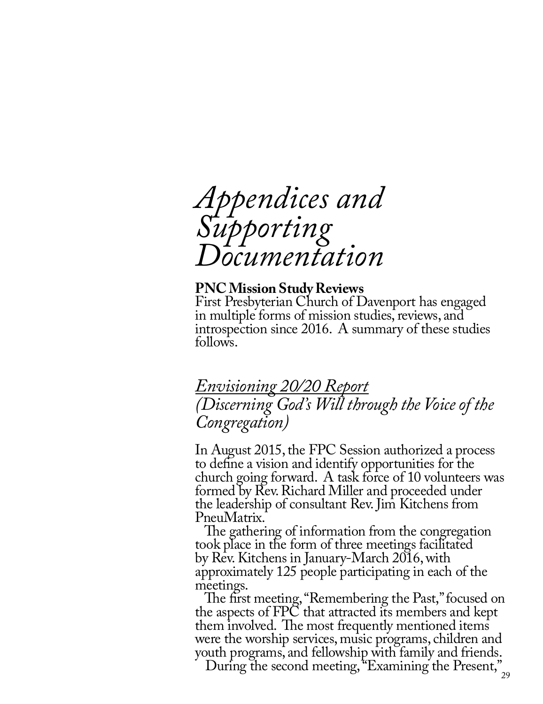

#### **PNC Mission Study Reviews**

First Presbyterian Church of Davenport has engaged in multiple forms of mission studies, reviews, and introspection since 2016. A summary of these studies follows.

# *Envisioning 20/20 Report (Discerning God's Will through the Voice of the Congregation)*

In August 2015, the FPC Session authorized a process to define a vision and identify opportunities for the church going forward. A task force of 10 volunteers was formed by Rev. Richard Miller and proceeded under the leadership of consultant Rev. Jim Kitchens from PneuMatrix.

 The gathering of information from the congregation took place in the form of three meetings facilitated by Rev. Kitchens in January-March 2016, with approximately 125 people participating in each of the meetings.

 The first meeting, "Remembering the Past," focused on the aspects of FPC that attracted its members and kept them involved. The most frequently mentioned items were the worship services, music programs, children and youth programs, and fellowship with family and friends.

During the second meeting, "Examining the Present,"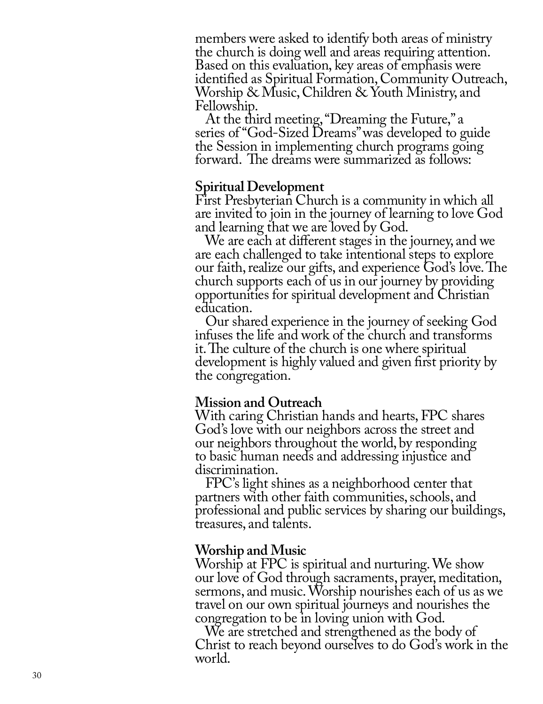members were asked to identify both areas of ministry the church is doing well and areas requiring attention. Based on this evaluation, key areas of emphasis were identified as Spiritual Formation, Community Outreach, Worship & Music, Children & Youth Ministry, and Fellowship.

 At the third meeting, "Dreaming the Future," a series of "God-Sized Dreams" was developed to guide the Session in implementing church programs going forward. The dreams were summarized as follows:

#### **Spiritual Development**

First Presbyterian Church is a community in which all are invited to join in the journey of learning to love God and learning that we are loved by God.

 We are each at different stages in the journey, and we are each challenged to take intentional steps to explore our faith, realize our gifts, and experience God's love. The church supports each of us in our journey by providing opportunities for spiritual development and Christian education.

 Our shared experience in the journey of seeking God infuses the life and work of the church and transforms it. The culture of the church is one where spiritual development is highly valued and given first priority by the congregation.

#### **Mission and Outreach**

With caring Christian hands and hearts, FPC shares God's love with our neighbors across the street and our neighbors throughout the world, by responding to basic human needs and addressing injustice and discrimination.

 FPC's light shines as a neighborhood center that partners with other faith communities, schools, and professional and public services by sharing our buildings, treasures, and talents.

#### **Worship and Music**

Worship at FPC is spiritual and nurturing. We show our love of God through sacraments, prayer, meditation, sermons, and music. Worship nourishes each of us as we travel on our own spiritual journeys and nourishes the congregation to be in loving union with God.

 We are stretched and strengthened as the body of Christ to reach beyond ourselves to do God's work in the world.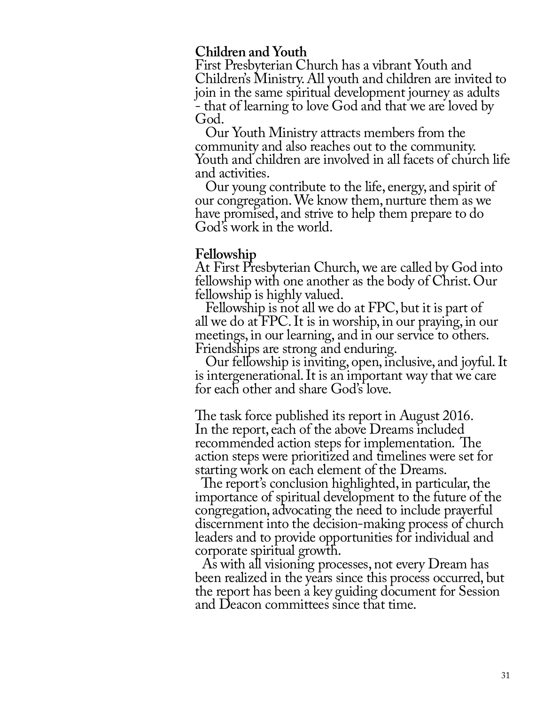## **Children and Youth**

First Presbyterian Church has a vibrant Youth and Children's Ministry. All youth and children are invited to join in the same spiritual development journey as adults - that of learning to love God and that we are loved by God.

 Our Youth Ministry attracts members from the community and also reaches out to the community. Youth and children are involved in all facets of church life and activities.

 Our young contribute to the life, energy, and spirit of our congregation. We know them, nurture them as we have promised, and strive to help them prepare to do God's work in the world.

### **Fellowship**

At First Presbyterian Church, we are called by God into fellowship with one another as the body of Christ. Our fellowship is highly valued.

 Fellowship is not all we do at FPC, but it is part of all we do at FPC. It is in worship, in our praying, in our meetings, in our learning, and in our service to others. Friendships are strong and enduring.

 Our fellowship is inviting, open, inclusive, and joyful. It is intergenerational. It is an important way that we care for each other and share God's love.

 $\overline{a}$ The task force published its report in August 2016. In the report, each of the above Dreams included recommended action steps for implementation. The action steps were prioritized and timelines were set for starting work on each element of the Dreams.

 The report's conclusion highlighted, in particular, the importance of spiritual development to the future of the congregation, advocating the need to include prayerful discernment into the decision-making process of church leaders and to provide opportunities for individual and corporate spiritual growth.

 As with all visioning processes, not every Dream has been realized in the years since this process occurred, but the report has been a key guiding document for Session and Deacon committees since that time.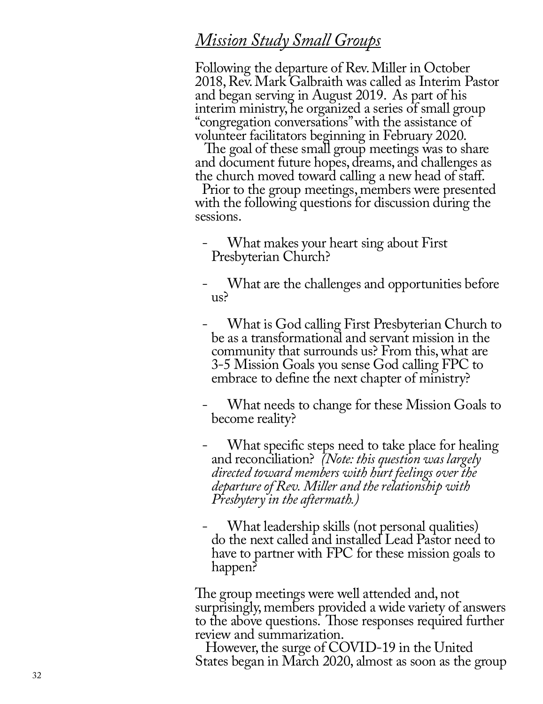# *Mission Study Small Groups*

Following the departure of Rev. Miller in October 2018, Rev. Mark Galbraith was called as Interim Pastor and began serving in August 2019. As part of his interim ministry, he organized a series of small group "congregation conversations" with the assistance of volunteer facilitators beginning in February 2020.

 The goal of these small group meetings was to share and document future hopes, dreams, and challenges as the church moved toward calling a new head of staff.

 Prior to the group meetings, members were presented with the following questions for discussion during the sessions.

- What makes your heart sing about First Presbyterian Church?
- What are the challenges and opportunities before<br>us?
- What is God calling First Presbyterian Church to be as a transformational and servant mission in the community that surrounds us? From this, what are 3-5 Mission Goals you sense God calling FPC to embrace to define the next chapter of ministry?
- What needs to change for these Mission Goals to become reality?
- What specific steps need to take place for healing and reconciliation? *(Note: this question was largely directed toward members with hurt feelings over the departure of Rev. Miller and the relationship with Presbytery in the aftermath.)*
- What leadership skills (not personal qualities) do the next called and installed Lead Pastor need to have to partner with FPC for these mission goals to happen?

The group meetings were well attended and, not surprisingly, members provided a wide variety of answers to the above questions. Those responses required further review and summarization.

 However, the surge of COVID-19 in the United States began in March 2020, almost as soon as the group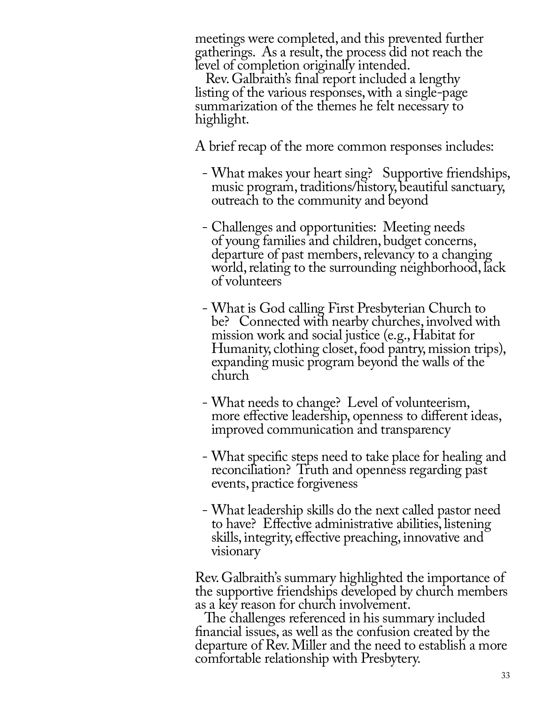meetings were completed, and this prevented further gatherings. As a result, the process did not reach the level of completion originally intended.

 Rev. Galbraith's final report included a lengthy listing of the various responses, with a single-page summarization of the themes he felt necessary to highlight.

A brief recap of the more common responses includes:

- What makes your heart sing? Supportive friendships, music program, traditions/history, beautiful sanctuary, outreach to the community and beyond
- Challenges and opportunities: Meeting needs of young families and children, budget concerns, departure of past members, relevancy to a changing world, relating to the surrounding neighborhood, lack of volunteers
- What is God calling First Presbyterian Church to be? Connected with nearby churches, involved with mission work and social justice (e.g., Habitat for Humanity, clothing closet, food pantry, mission trips), expanding music program beyond the walls of the church
- What needs to change? Level of volunteerism, more effective leadership, openness to different ideas, improved communication and transparency
- What specific steps need to take place for healing and reconciliation? Truth and openness regarding past events, practice forgiveness
- What leadership skills do the next called pastor need to have? Effective administrative abilities, listening skills, integrity, effective preaching, innovative and visionary

Rev. Galbraith's summary highlighted the importance of the supportive friendships developed by church members as a key reason for church involvement.

 The challenges referenced in his summary included financial issues, as well as the confusion created by the departure of Rev. Miller and the need to establish a more comfortable relationship with Presbytery.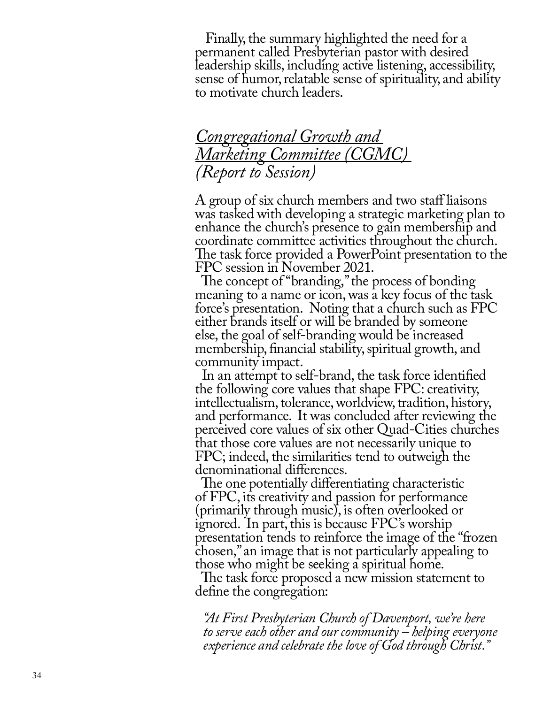Finally, the summary highlighted the need for a permanent called Presbyterian pastor with desired leadership skills, including active listening, accessibility, sense of humor, relatable sense of spirituality, and ability to motivate church leaders.

# *Congregational Growth and Marketing Committee (CGMC) (Report to Session)*

A group of six church members and two staff liaisons was tasked with developing a strategic marketing plan to enhance the church's presence to gain membership and coordinate committee activities throughout the church. The task force provided a PowerPoint presentation to the FPC session in November 2021.

 The concept of "branding," the process of bonding meaning to a name or icon, was a key focus of the task force's presentation. Noting that a church such as FPC either brands itself or will be branded by someone else, the goal of self-branding would be increased membership, financial stability, spiritual growth, and community impact.

 In an attempt to self-brand, the task force identified the following core values that shape FPC: creativity, intellectualism, tolerance, worldview, tradition, history, and performance. It was concluded after reviewing the perceived core values of six other Quad-Cities churches that those core values are not necessarily unique to FPC; indeed, the similarities tend to outweigh the denominational differences.

 The one potentially differentiating characteristic of FPC, its creativity and passion for performance (primarily through music), is often overlooked or ignored. In part, this is because FPC's worship presentation tends to reinforce the image of the "frozen chosen," an image that is not particularly appealing to those who might be seeking a spiritual home.

 The task force proposed a new mission statement to define the congregation:

*"At First Presbyterian Church of Davenport, we're here to serve each other and our community – helping everyone experience and celebrate the love of God through Christ."*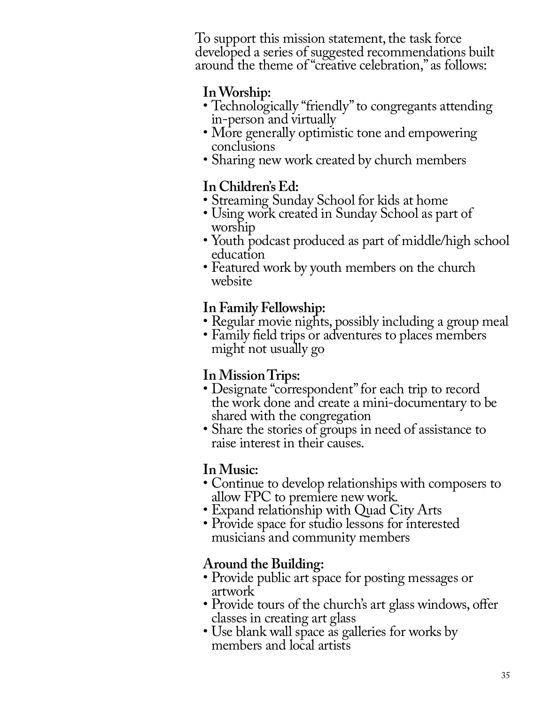To support this mission statement, the task force developed a series of suggested recommendations built around the theme of "creative celebration," as follows:

# **In Worship:**

- Technologically "friendly" to congregants attending in-person and virtually
- More generally optimistic tone and empowering conclusions
- Sharing new work created by church members

# **In Children's Ed:**

- Streaming Sunday School for kids at home
- Using work created in Sunday School as part of worship
- Youth podcast produced as part of middle/high school education
- Featured work by youth members on the church website

# **In Family Fellowship:**

- Regular movie nights, possibly including a group meal
- Family field trips or adventures to places members might not usually go

# **In Mission Trips:**

- Designate "correspondent" for each trip to record the work done and create a mini-documentary to be shared with the congregation
- Share the stories of groups in need of assistance to raise interest in their causes.

# **In Music:**

- Continue to develop relationships with composers to allow FPC to premiere new work.
- Expand relationship with Quad City Arts
- Provide space for studio lessons for interested musicians and community members

# **Around the Building:**

- Provide public art space for posting messages or artwork
- Provide tours of the church's art glass windows, offer classes in creating art glass
- Use blank wall space as galleries for works by members and local artists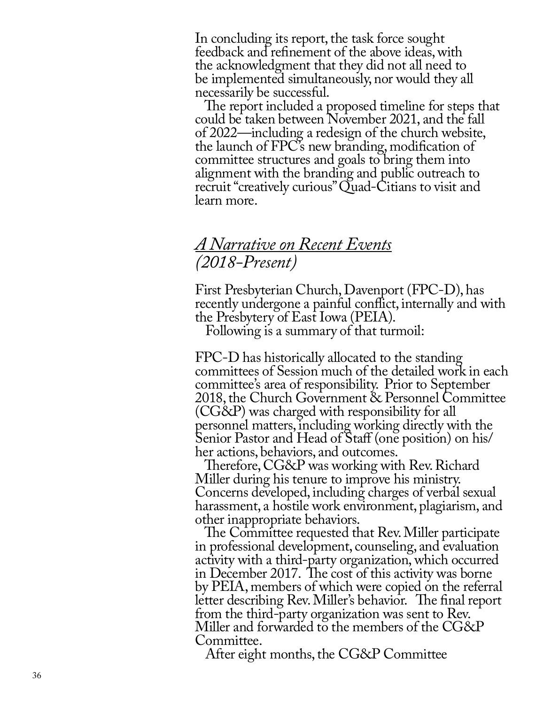In concluding its report, the task force sought feedback and refinement of the above ideas, with the acknowledgment that they did not all need to be implemented simultaneously, nor would they all necessarily be successful.

 The report included a proposed timeline for steps that could be taken between November 2021, and the fall of 2022—including a redesign of the church website, the launch of FPC's new branding, modification of committee structures and goals to bring them into alignment with the branding and public outreach to recruit "creatively curious" Quad-Citians to visit and learn more.

# *A Narrative on Recent Events (2018-Present)*

First Presbyterian Church, Davenport (FPC-D), has recently undergone a painful conflict, internally and with the Presbytery of East Iowa (PEIA).

Following is a summary of that turmoil:

FPC-D has historically allocated to the standing committees of Session much of the detailed work in each committee's area of responsibility. Prior to September 2018, the Church Government & Personnel Committee (CG&P) was charged with responsibility for all personnel matters, including working directly with the Senior Pastor and Head of Staff (one position) on his/ her actions, behaviors, and outcomes.

 Therefore, CG&P was working with Rev. Richard Miller during his tenure to improve his ministry. Concerns developed, including charges of verbal sexual harassment, a hostile work environment, plagiarism, and other inappropriate behaviors.

The Committee requested that Rev. Miller participate in professional development, counseling, and evaluation activity with a third-party organization, which occurred in December 2017. The cost of this activity was borne by PEIA, members of which were copied on the referral letter describing Rev. Miller's behavior. The final report from the third-party organization was sent to Rev. Miller and forwarded to the members of the CG&P Committee.

After eight months, the CG&P Committee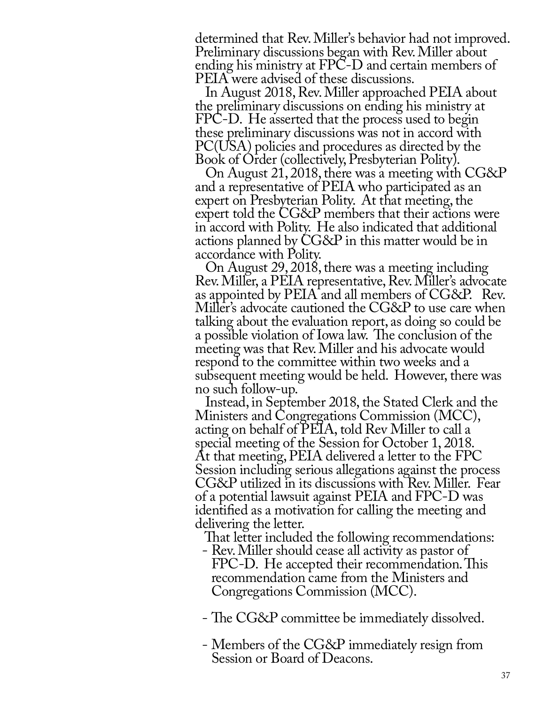determined that Rev. Miller's behavior had not improved. Preliminary discussions began with Rev. Miller about ending his ministry at FPC-D and certain members of PEIA were advised of these discussions.

 In August 2018, Rev. Miller approached PEIA about the preliminary discussions on ending his ministry at FPC-D. He asserted that the process used to begin these preliminary discussions was not in accord with PC(USA) policies and procedures as directed by the Book of Order (collectively, Presbyterian Polity).

 On August 21, 2018, there was a meeting with CG&P and a representative of PEIA who participated as an expert on Presbyterian Polity. At that meeting, the expert told the CG&P members that their actions were in accord with Polity. He also indicated that additional actions planned by CG&P in this matter would be in accordance with Polity.

 On August 29, 2018, there was a meeting including Rev. Miller, a PEIA representative, Rev. Miller's advocate as appointed by PEIA and all members of CG&P. Rev. Miller's advocate cautioned the CG&P to use care when talking about the evaluation report, as doing so could be a possible violation of Iowa law. The conclusion of the meeting was that Rev. Miller and his advocate would respond to the committee within two weeks and a subsequent meeting would be held. However, there was no such follow-up.

 Instead, in September 2018, the Stated Clerk and the Ministers and Congregations Commission (MCC), acting on behalf of PEIA, told Rev Miller to call a special meeting of the Session for October 1, 2018. At that meeting, PEIA delivered a letter to the FPC Session including serious allegations against the process CG&P utilized in its discussions with Rev. Miller. Fear of a potential lawsuit against PEIA and FPC-D was identified as a motivation for calling the meeting and delivering the letter.

That letter included the following recommendations:

- Rev. Miller should cease all activity as pastor of FPC-D. He accepted their recommendation. This recommendation came from the Ministers and Congregations Commission (MCC).
- The CG&P committee be immediately dissolved.
- Members of the CG&P immediately resign from Session or Board of Deacons.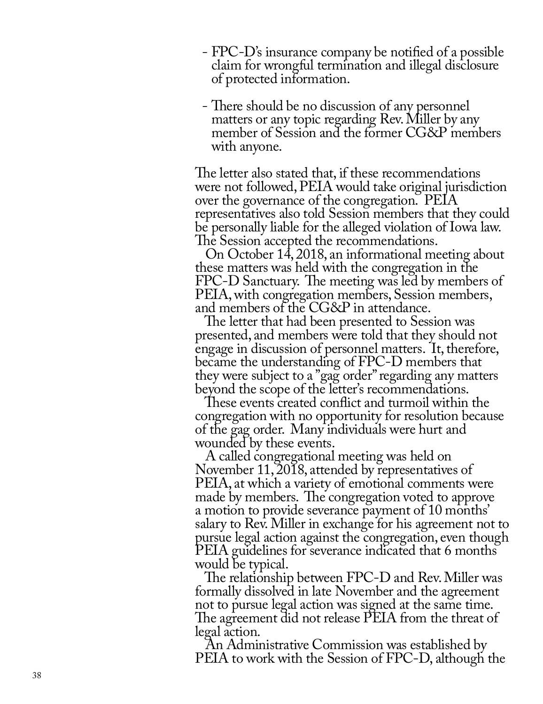- FPC-D's insurance company be notified of a possible claim for wrongful termination and illegal disclosure of protected information.
- There should be no discussion of any personnel matters or any topic regarding Rev. Miller by any member of Session and the former CG&P members with anyone.

The letter also stated that, if these recommendations were not followed, PEIA would take original jurisdiction over the governance of the congregation. PEIA representatives also told Session members that they could be personally liable for the alleged violation of Iowa law. The Session accepted the recommendations.

 On October 14, 2018, an informational meeting about these matters was held with the congregation in the FPC-D Sanctuary. The meeting was led by members of PEIA, with congregation members, Session members, and members of the CG&P in attendance.

 The letter that had been presented to Session was presented, and members were told that they should not engage in discussion of personnel matters. It, therefore, became the understanding of FPC-D members that they were subject to a "gag order" regarding any matters beyond the scope of the letter's recommendations.

 These events created conflict and turmoil within the congregation with no opportunity for resolution because of the gag order. Many individuals were hurt and wounded by these events.

 A called congregational meeting was held on November 11, 2018, attended by representatives of PEIA, at which a variety of emotional comments were made by members. The congregation voted to approve a motion to provide severance payment of 10 months' salary to Rev. Miller in exchange for his agreement not to pursue legal action against the congregation, even though PEIA guidelines for severance indicated that 6 months would be typical.

 The relationship between FPC-D and Rev. Miller was formally dissolved in late November and the agreement not to pursue legal action was signed at the same time. The agreement did not release PEIA from the threat of legal action.

 An Administrative Commission was established by PEIA to work with the Session of FPC-D, although the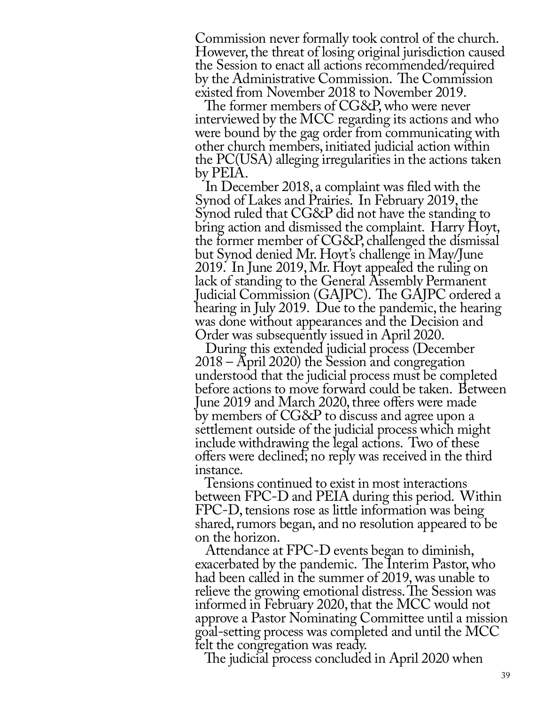Commission never formally took control of the church. However, the threat of losing original jurisdiction caused the Session to enact all actions recommended/required by the Administrative Commission. The Commission existed from November 2018 to November 2019.

 The former members of CG&P, who were never interviewed by the MCC regarding its actions and who were bound by the gag order from communicating with other church members, initiated judicial action within the PC(USA) alleging irregularities in the actions taken by PEIA.

 In December 2018, a complaint was filed with the Synod of Lakes and Prairies. In February 2019, the Synod ruled that CG&P did not have the standing to bring action and dismissed the complaint. Harry Hoyt, the former member of CG&P, challenged the dismissal but Synod denied Mr. Hoyt's challenge in May/June 2019. In June 2019, Mr. Hoyt appealed the ruling on lack of standing to the General Assembly Permanent Judicial Commission (GAJPC). The GAJPC ordered a hearing in July 2019. Due to the pandemic, the hearing was done without appearances and the Decision and Order was subsequently issued in April 2020.

 During this extended judicial process (December 2018 – April 2020) the Session and congregation understood that the judicial process must be completed before actions to move forward could be taken. Between June 2019 and March 2020, three offers were made by members of CG&P to discuss and agree upon a settlement outside of the judicial process which might include withdrawing the legal actions. Two of these offers were declined; no reply was received in the third instance.

 Tensions continued to exist in most interactions between FPC-D and PEIA during this period. Within FPC-D, tensions rose as little information was being shared, rumors began, and no resolution appeared to be on the horizon.

 Attendance at FPC-D events began to diminish, exacerbated by the pandemic. The Interim Pastor, who had been called in the summer of 2019, was unable to relieve the growing emotional distress. The Session was informed in February 2020, that the MCC would not approve a Pastor Nominating Committee until a mission goal-setting process was completed and until the MCC felt the congregation was ready.

The judicial process concluded in April 2020 when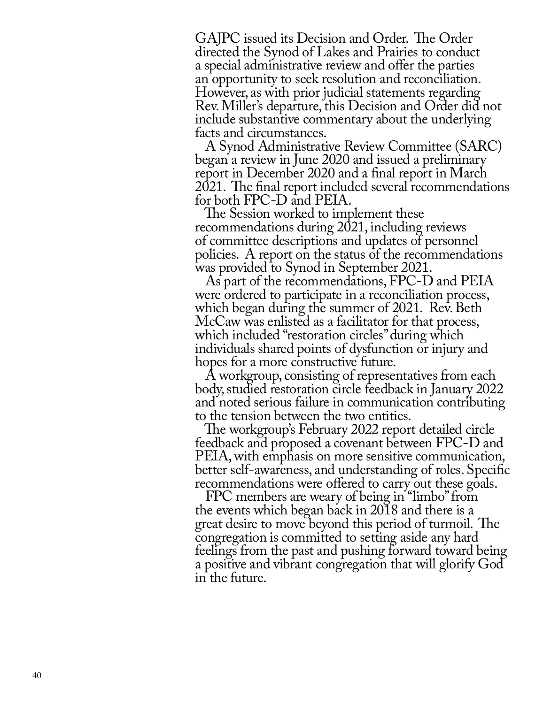GAJPC issued its Decision and Order. The Order directed the Synod of Lakes and Prairies to conduct a special administrative review and offer the parties an opportunity to seek resolution and reconciliation. However, as with prior judicial statements regarding Rev. Miller's departure, this Decision and Order did not include substantive commentary about the underlying facts and circumstances.

 A Synod Administrative Review Committee (SARC) began a review in June 2020 and issued a preliminary report in December 2020 and a final report in March 2021. The final report included several recommendations for both FPC-D and PEIA.

 The Session worked to implement these recommendations during 2021, including reviews of committee descriptions and updates of personnel policies. A report on the status of the recommendations was provided to Synod in September 2021.

 As part of the recommendations, FPC-D and PEIA were ordered to participate in a reconciliation process, which began during the summer of 2021. Rev. Beth McCaw was enlisted as a facilitator for that process, which included "restoration circles" during which individuals shared points of dysfunction or injury and hopes for a more constructive future.

 A workgroup, consisting of representatives from each body, studied restoration circle feedback in January 2022 and noted serious failure in communication contributing to the tension between the two entities.

 The workgroup's February 2022 report detailed circle feedback and proposed a covenant between FPC-D and PEIA, with emphasis on more sensitive communication, better self-awareness, and understanding of roles. Specific recommendations were offered to carry out these goals.

 FPC members are weary of being in "limbo" from the events which began back in 2018 and there is a great desire to move beyond this period of turmoil. The congregation is committed to setting aside any hard feelings from the past and pushing forward toward being a positive and vibrant congregation that will glorify God in the future.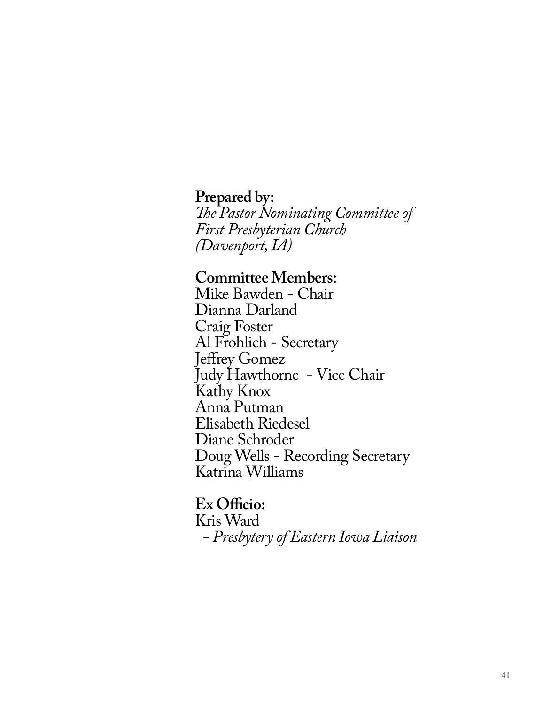**Prepared by:**

*The Pastor Nominating Committee of First Presbyterian Church (Davenport, IA)*

**Committee Members:**

Mike Bawden - Chair Dianna Darland Craig Foster Al Frohlich - Secretary Jeffrey Gomez Judy Hawthorne - Vice Chair Kathy Knox Anna Putman Elisabeth Riedesel Diane Schroder Doug Wells - Recording Secretary Katrina Williams

**Ex Officio:** Kris Ward *- Presbytery of Eastern Iowa Liaison*